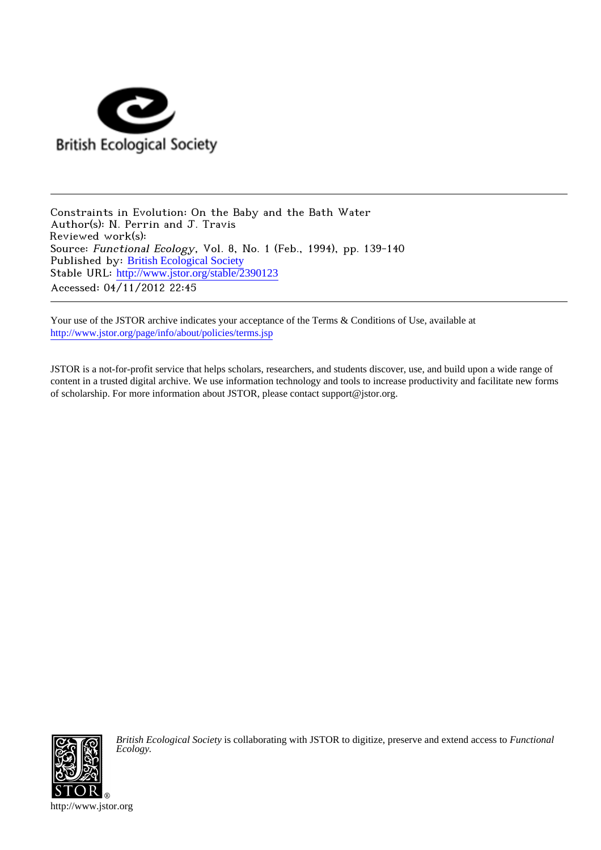

Constraints in Evolution: On the Baby and the Bath Water Author(s): N. Perrin and J. Travis Reviewed work(s): Source: Functional Ecology, Vol. 8, No. 1 (Feb., 1994), pp. 139-140 Published by: [British Ecological Society](http://www.jstor.org/action/showPublisher?publisherCode=briteco) Stable URL: [http://www.jstor.org/stable/2390123](http://www.jstor.org/stable/2390123?origin=JSTOR-pdf) Accessed: 04/11/2012 22:45

Your use of the JSTOR archive indicates your acceptance of the Terms & Conditions of Use, available at <http://www.jstor.org/page/info/about/policies/terms.jsp>

JSTOR is a not-for-profit service that helps scholars, researchers, and students discover, use, and build upon a wide range of content in a trusted digital archive. We use information technology and tools to increase productivity and facilitate new forms of scholarship. For more information about JSTOR, please contact support@jstor.org.



*British Ecological Society* is collaborating with JSTOR to digitize, preserve and extend access to *Functional Ecology.*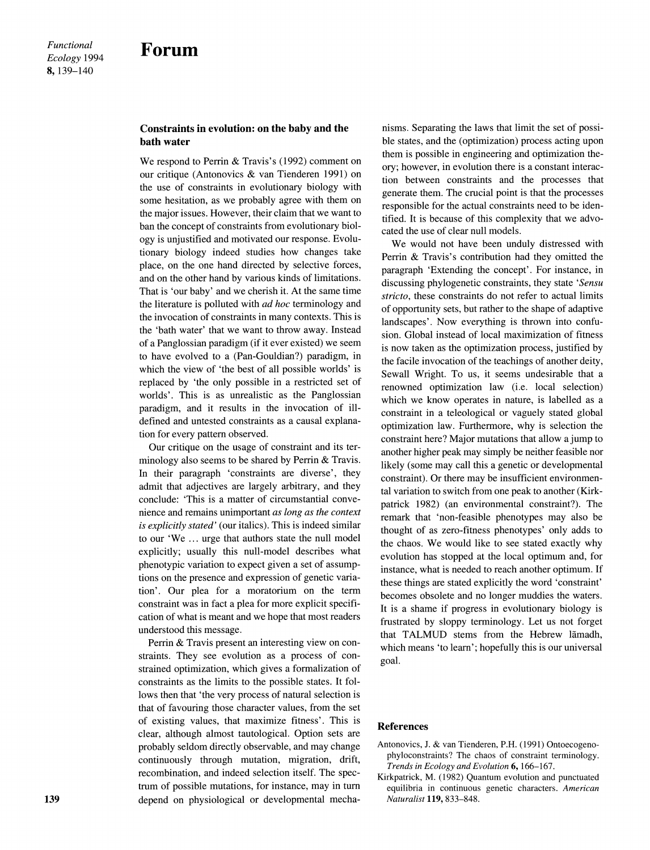**Functional Ecology 1994 8, 139-140** 

## **Constraints in evolution: on the baby and the bath water**

**We respond to Perrin & Travis's (1992) comment on our critique (Antonovics & van Tienderen 1991) on the use of constraints in evolutionary biology with some hesitation, as we probably agree with them on the major issues. However, their claim that we want to ban the concept of constraints from evolutionary biology is unjustified and motivated our response. Evolutionary biology indeed studies how changes take place, on the one hand directed by selective forces, and on the other hand by various kinds of limitations. That is 'our baby' and we cherish it. At the same time the literature is polluted with ad hoc terminology and the invocation of constraints in many contexts. This is the 'bath water' that we want to throw away. Instead of a Panglossian paradigm (if it ever existed) we seem to have evolved to a (Pan-Gouldian?) paradigm, in which the view of 'the best of all possible worlds' is replaced by 'the only possible in a restricted set of worlds'. This is as unrealistic as the Panglossian paradigm, and it results in the invocation of illdefined and untested constraints as a causal explanation for every pattern observed.** 

**Our critique on the usage of constraint and its terminology also seems to be shared by Perrin & Travis. In their paragraph 'constraints are diverse', they admit that adjectives are largely arbitrary, and they conclude: 'This is a matter of circumstantial convenience and remains unimportant as long as the context is explicitly stated' (our italics). This is indeed similar to our 'We ... urge that authors state the null model explicitly; usually this null-model describes what phenotypic variation to expect given a set of assumptions on the presence and expression of genetic variation'. Our plea for a moratorium on the term constraint was in fact a plea for more explicit specification of what is meant and we hope that most readers understood this message.** 

**Perrin & Travis present an interesting view on constraints. They see evolution as a process of constrained optimization, which gives a formalization of constraints as the limits to the possible states. It follows then that 'the very process of natural selection is that of favouring those character values, from the set of existing values, that maximize fitness'. This is clear, although almost tautological. Option sets are probably seldom directly observable, and may change continuously through mutation, migration, drift, recombination, and indeed selection itself. The spectrum of possible mutations, for instance, may in turn depend on physiological or developmental mecha-**

**nisms. Separating the laws that limit the set of possible states, and the (optimization) process acting upon them is possible in engineering and optimization theory; however, in evolution there is a constant interaction between constraints and the processes that generate them. The crucial point is that the processes responsible for the actual constraints need to be identified. It is because of this complexity that we advocated the use of clear null models.** 

**We would not have been unduly distressed with Perrin & Travis's contribution had they omitted the paragraph 'Extending the concept'. For instance, in discussing phylogenetic constraints, they state 'Sensu stricto, these constraints do not refer to actual limits of opportunity sets, but rather to the shape of adaptive landscapes'. Now everything is thrown into confusion. Global instead of local maximization of fitness is now taken as the optimization process, justified by the facile invocation of the teachings of another deity, Sewall Wright. To us, it seems undesirable that a renowned optimization law (i.e. local selection) which we know operates in nature, is labelled as a constraint in a teleological or vaguely stated global optimization law. Furthermore, why is selection the constraint here? Major mutations that allow a jump to another higher peak may simply be neither feasible nor likely (some may call this a genetic or developmental constraint). Or there may be insufficient environmental variation to switch from one peak to another (Kirkpatrick 1982) (an environmental constraint?). The remark that 'non-feasible phenotypes may also be thought of as zero-fitness phenotypes' only adds to the chaos. We would like to see stated exactly why evolution has stopped at the local optimum and, for instance, what is needed to reach another optimum. If these things are stated explicitly the word 'constraint' becomes obsolete and no longer muddies the waters. It is a shame if progress in evolutionary biology is frustrated by sloppy terminology. Let us not forget**  that TALMUD stems from the Hebrew lamadh, **which means 'to learn'; hopefully this is our universal goal.** 

## **References**

- **Antonovics, J. & van Tienderen, P.H. (1991) Ontoecogenophyloconstraints? The chaos of constraint terminology. Trends in Ecology and Evolution 6, 166-167.**
- **Kirkpatrick, M. (1982) Quantum evolution and punctuated equilibria in continuous genetic characters. American Naturalist 119, 833-848.**